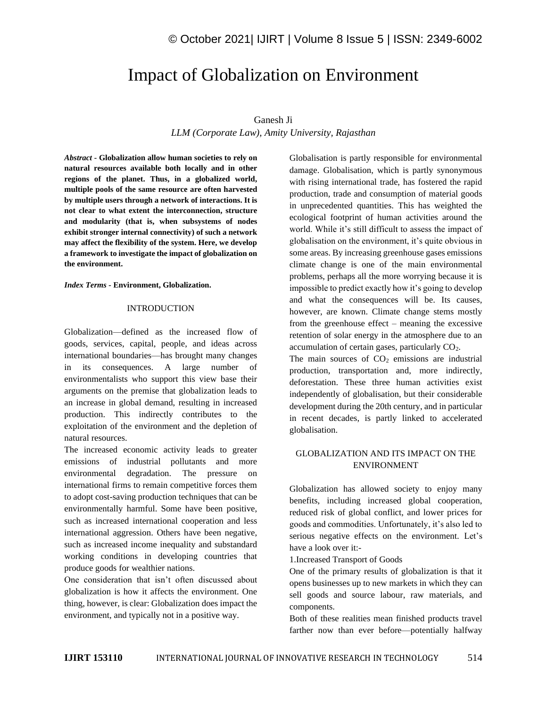# Impact of Globalization on Environment

### Ganesh Ji

*LLM (Corporate Law), Amity University, Rajasthan*

*Abstract -* **Globalization allow human societies to rely on natural resources available both locally and in other regions of the planet. Thus, in a globalized world, multiple pools of the same resource are often harvested by multiple users through a network of interactions. It is not clear to what extent the interconnection, structure and modularity (that is, when subsystems of nodes exhibit stronger internal connectivity) of such a network may affect the flexibility of the system. Here, we develop a framework to investigate the impact of globalization on the environment.**

*Index Terms -* **Environment, Globalization.**

#### INTRODUCTION

Globalization—defined as the increased flow of goods, services, capital, people, and ideas across international boundaries—has brought many changes in its consequences. A large number of environmentalists who support this view base their arguments on the premise that globalization leads to an increase in global demand, resulting in increased production. This indirectly contributes to the exploitation of the environment and the depletion of natural resources.

The increased economic activity leads to greater emissions of industrial pollutants and more environmental degradation. The pressure on international firms to remain competitive forces them to adopt cost-saving production techniques that can be environmentally harmful. Some have been positive, such as increased international cooperation and less international aggression. Others have been negative, such as increased income inequality and substandard working conditions in developing countries that produce goods for wealthier nations.

One consideration that isn't often discussed about globalization is how it affects the environment. One thing, however, is clear: Globalization does impact the environment, and typically not in a positive way.

Globalisation is partly responsible for environmental damage. Globalisation, which is partly synonymous with rising international trade, has fostered the rapid production, trade and consumption of material goods in unprecedented quantities. This has weighted the ecological footprint of human activities around the world. While it's still difficult to assess the impact of globalisation on the environment, it's quite obvious in some areas. By increasing greenhouse gases emissions climate change is one of the main environmental problems, perhaps all the more worrying because it is impossible to predict exactly how it's going to develop and what the consequences will be. Its causes, however, are known. Climate change stems mostly from the greenhouse effect – meaning the excessive retention of solar energy in the atmosphere due to an accumulation of certain gases, particularly CO<sub>2</sub>.

The main sources of  $CO<sub>2</sub>$  emissions are industrial production, transportation and, more indirectly, deforestation. These three human activities exist independently of globalisation, but their considerable development during the 20th century, and in particular in recent decades, is partly linked to accelerated globalisation.

# GLOBALIZATION AND ITS IMPACT ON THE ENVIRONMENT

Globalization has allowed society to enjoy many benefits, including increased global cooperation, reduced risk of global conflict, and lower prices for goods and commodities. Unfortunately, it's also led to serious negative effects on the environment. Let's have a look over it:-

1.Increased Transport of Goods

One of the primary results of globalization is that it opens businesses up to new markets in which they can sell goods and source labour, raw materials, and components.

Both of these realities mean finished products travel farther now than ever before—potentially halfway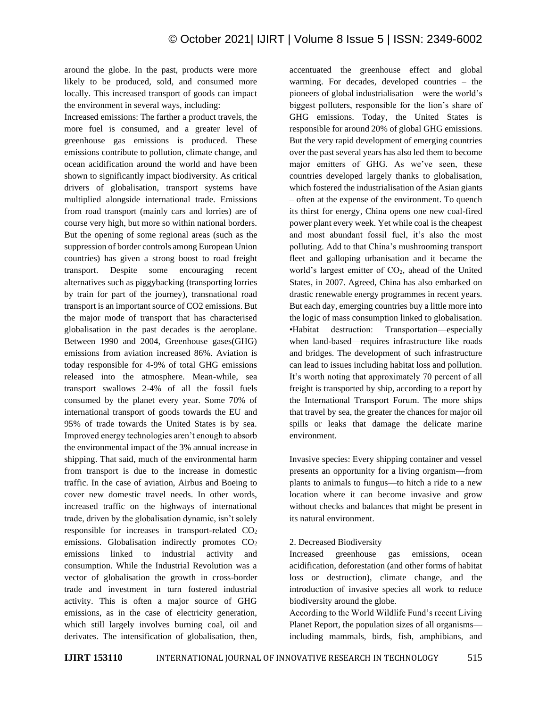around the globe. In the past, products were more likely to be produced, sold, and consumed more locally. This increased transport of goods can impact the environment in several ways, including:

Increased emissions: The farther a product travels, the more fuel is consumed, and a greater level of greenhouse gas emissions is produced. These emissions contribute to pollution, climate change, and ocean acidification around the world and have been shown to significantly impact biodiversity. As critical drivers of globalisation, transport systems have multiplied alongside international trade. Emissions from road transport (mainly cars and lorries) are of course very high, but more so within national borders. But the opening of some regional areas (such as the suppression of border controls among European Union countries) has given a strong boost to road freight transport. Despite some encouraging recent alternatives such as piggybacking (transporting lorries by train for part of the journey), transnational road transport is an important source of CO2 emissions. But the major mode of transport that has characterised globalisation in the past decades is the aeroplane. Between 1990 and 2004, Greenhouse gases(GHG) emissions from aviation increased 86%. Aviation is today responsible for 4-9% of total GHG emissions released into the atmosphere. Mean-while, sea transport swallows 2-4% of all the fossil fuels consumed by the planet every year. Some 70% of international transport of goods towards the EU and 95% of trade towards the United States is by sea. Improved energy technologies aren't enough to absorb the environmental impact of the 3% annual increase in shipping. That said, much of the environmental harm from transport is due to the increase in domestic traffic. In the case of aviation, Airbus and Boeing to cover new domestic travel needs. In other words, increased traffic on the highways of international trade, driven by the globalisation dynamic, isn't solely responsible for increases in transport-related  $CO<sub>2</sub>$ emissions. Globalisation indirectly promotes  $CO<sub>2</sub>$ emissions linked to industrial activity and consumption. While the Industrial Revolution was a vector of globalisation the growth in cross-border trade and investment in turn fostered industrial activity. This is often a major source of GHG emissions, as in the case of electricity generation, which still largely involves burning coal, oil and derivates. The intensification of globalisation, then, accentuated the greenhouse effect and global warming. For decades, developed countries – the pioneers of global industrialisation – were the world's biggest polluters, responsible for the lion's share of GHG emissions. Today, the United States is responsible for around 20% of global GHG emissions. But the very rapid development of emerging countries over the past several years has also led them to become major emitters of GHG. As we've seen, these countries developed largely thanks to globalisation, which fostered the industrialisation of the Asian giants – often at the expense of the environment. To quench its thirst for energy, China opens one new coal-fired power plant every week. Yet while coal is the cheapest and most abundant fossil fuel, it's also the most polluting. Add to that China's mushrooming transport fleet and galloping urbanisation and it became the world's largest emitter of CO<sub>2</sub>, ahead of the United States, in 2007. Agreed, China has also embarked on drastic renewable energy programmes in recent years. But each day, emerging countries buy a little more into the logic of mass consumption linked to globalisation. •Habitat destruction: Transportation—especially when land-based—requires infrastructure like roads and bridges. The development of such infrastructure can lead to issues including habitat loss and pollution. It's worth noting that approximately 70 percent of all freight is transported by ship, according to a report by the International Transport Forum. The more ships that travel by sea, the greater the chances for major oil spills or leaks that damage the delicate marine environment.

Invasive species: Every shipping container and vessel presents an opportunity for a living organism—from plants to animals to fungus—to hitch a ride to a new location where it can become invasive and grow without checks and balances that might be present in its natural environment.

#### 2. Decreased Biodiversity

Increased greenhouse gas emissions, ocean acidification, deforestation (and other forms of habitat loss or destruction), climate change, and the introduction of invasive species all work to reduce biodiversity around the globe.

According to the World Wildlife Fund's recent Living Planet Report, the population sizes of all organisms including mammals, birds, fish, amphibians, and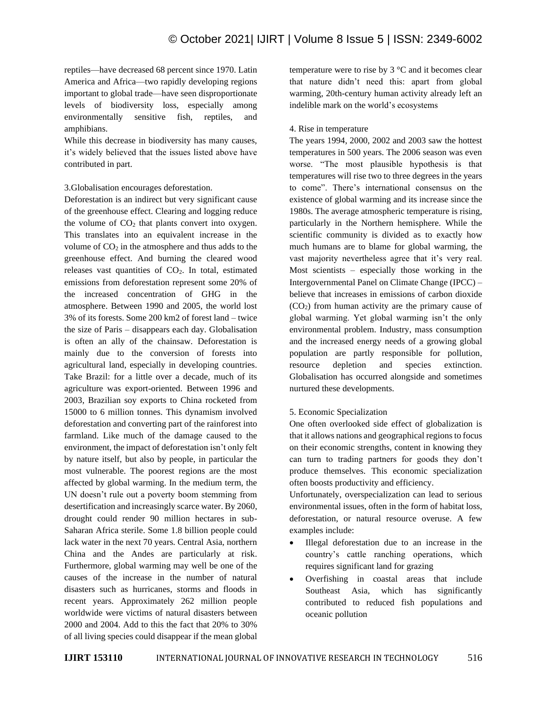reptiles—have decreased 68 percent since 1970. Latin America and Africa—two rapidly developing regions important to global trade—have seen disproportionate levels of biodiversity loss, especially among environmentally sensitive fish, reptiles, and amphibians.

While this decrease in biodiversity has many causes, it's widely believed that the issues listed above have contributed in part.

3.Globalisation encourages deforestation.

Deforestation is an indirect but very significant cause of the greenhouse effect. Clearing and logging reduce the volume of  $CO<sub>2</sub>$  that plants convert into oxygen. This translates into an equivalent increase in the volume of  $CO<sub>2</sub>$  in the atmosphere and thus adds to the greenhouse effect. And burning the cleared wood releases vast quantities of CO<sub>2</sub>. In total, estimated emissions from deforestation represent some 20% of the increased concentration of GHG in the atmosphere. Between 1990 and 2005, the world lost 3% of its forests. Some 200 km2 of forest land – twice the size of Paris – disappears each day. Globalisation is often an ally of the chainsaw. Deforestation is mainly due to the conversion of forests into agricultural land, especially in developing countries. Take Brazil: for a little over a decade, much of its agriculture was export-oriented. Between 1996 and 2003, Brazilian soy exports to China rocketed from 15000 to 6 million tonnes. This dynamism involved deforestation and converting part of the rainforest into farmland. Like much of the damage caused to the environment, the impact of deforestation isn't only felt by nature itself, but also by people, in particular the most vulnerable. The poorest regions are the most affected by global warming. In the medium term, the UN doesn't rule out a poverty boom stemming from desertification and increasingly scarce water. By 2060, drought could render 90 million hectares in sub-Saharan Africa sterile. Some 1.8 billion people could lack water in the next 70 years. Central Asia, northern China and the Andes are particularly at risk. Furthermore, global warming may well be one of the causes of the increase in the number of natural disasters such as hurricanes, storms and floods in recent years. Approximately 262 million people worldwide were victims of natural disasters between 2000 and 2004. Add to this the fact that 20% to 30% of all living species could disappear if the mean global temperature were to rise by  $3^{\circ}$ C and it becomes clear that nature didn't need this: apart from global warming, 20th-century human activity already left an indelible mark on the world's ecosystems

## 4. Rise in temperature

The years 1994, 2000, 2002 and 2003 saw the hottest temperatures in 500 years. The 2006 season was even worse. "The most plausible hypothesis is that temperatures will rise two to three degrees in the years to come". There's international consensus on the existence of global warming and its increase since the 1980s. The average atmospheric temperature is rising, particularly in the Northern hemisphere. While the scientific community is divided as to exactly how much humans are to blame for global warming, the vast majority nevertheless agree that it's very real. Most scientists – especially those working in the Intergovernmental Panel on Climate Change (IPCC) – believe that increases in emissions of carbon dioxide  $(CO<sub>2</sub>)$  from human activity are the primary cause of global warming. Yet global warming isn't the only environmental problem. Industry, mass consumption and the increased energy needs of a growing global population are partly responsible for pollution, resource depletion and species extinction. Globalisation has occurred alongside and sometimes nurtured these developments.

# 5. Economic Specialization

One often overlooked side effect of globalization is that it allows nations and geographical regions to focus on their economic strengths, content in knowing they can turn to trading partners for goods they don't produce themselves. This economic specialization often boosts productivity and efficiency.

Unfortunately, overspecialization can lead to serious environmental issues, often in the form of habitat loss, deforestation, or natural resource overuse. A few examples include:

- Illegal deforestation due to an increase in the country's cattle ranching operations, which requires significant land for grazing
- Overfishing in coastal areas that include Southeast Asia, which has significantly contributed to reduced fish populations and oceanic pollution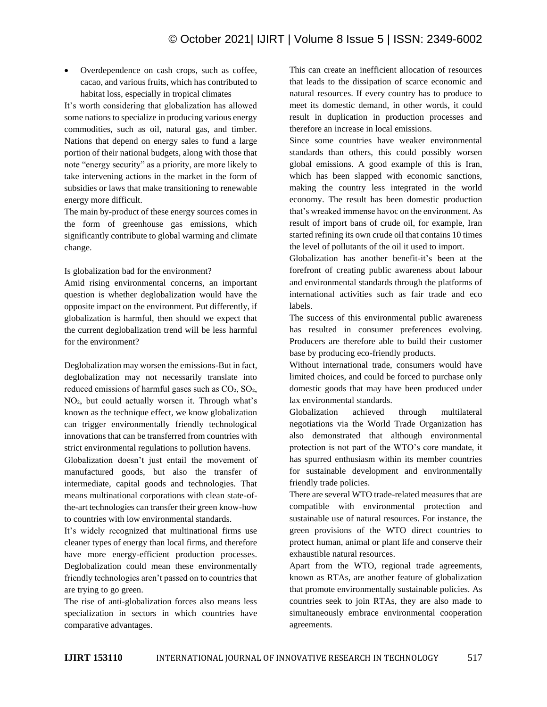• Overdependence on cash crops, such as coffee, cacao, and various fruits, which has contributed to habitat loss, especially in tropical climates

It's worth considering that globalization has allowed some nations to specialize in producing various energy commodities, such as oil, natural gas, and timber. Nations that depend on energy sales to fund a large portion of their national budgets, along with those that note "energy security" as a priority, are more likely to take intervening actions in the market in the form of subsidies or laws that make transitioning to renewable energy more difficult.

The main by-product of these energy sources comes in the form of greenhouse gas emissions, which significantly contribute to global warming and climate change.

Is globalization bad for the environment?

Amid rising environmental concerns, an important question is whether deglobalization would have the opposite impact on the environment. Put differently, if globalization is harmful, then should we expect that the current deglobalization trend will be less harmful for the environment?

Deglobalization may worsen the emissions-But in fact, deglobalization may not necessarily translate into reduced emissions of harmful gases such as  $CO<sub>2</sub>$ ,  $SO<sub>2</sub>$ , NO<sub>2</sub>, but could actually worsen it. Through what's known as the technique effect, we know globalization can trigger environmentally friendly technological innovations that can be transferred from countries with strict environmental regulations to pollution havens.

Globalization doesn't just entail the movement of manufactured goods, but also the transfer of intermediate, capital goods and technologies. That means multinational corporations with clean state-ofthe-art technologies can transfer their green know-how to countries with low environmental standards.

It's widely recognized that multinational firms use cleaner types of energy than local firms, and therefore have more energy-efficient production processes. Deglobalization could mean these environmentally friendly technologies aren't passed on to countries that are trying to go green.

The rise of anti-globalization forces also means less specialization in sectors in which countries have comparative advantages.

This can create an inefficient allocation of resources that leads to the dissipation of scarce economic and natural resources. If every country has to produce to meet its domestic demand, in other words, it could result in duplication in production processes and therefore an increase in local emissions.

Since some countries have weaker environmental standards than others, this could possibly worsen global emissions. A good example of this is Iran, which has been slapped with economic sanctions, making the country less integrated in the world economy. The result has been domestic production that's wreaked immense havoc on the environment. As result of import bans of crude oil, for example, Iran started refining its own crude oil that contains 10 times the level of pollutants of the oil it used to import.

Globalization has another benefit-it's been at the forefront of creating public awareness about labour and environmental standards through the platforms of international activities such as fair trade and eco labels.

The success of this environmental public awareness has resulted in consumer preferences evolving. Producers are therefore able to build their customer base by producing eco-friendly products.

Without international trade, consumers would have limited choices, and could be forced to purchase only domestic goods that may have been produced under lax environmental standards.

Globalization achieved through multilateral negotiations via the World Trade Organization has also demonstrated that although environmental protection is not part of the WTO's core mandate, it has spurred enthusiasm within its member countries for sustainable development and environmentally friendly trade policies.

There are several WTO trade-related measures that are compatible with environmental protection and sustainable use of natural resources. For instance, the green provisions of the WTO direct countries to protect human, animal or plant life and conserve their exhaustible natural resources.

Apart from the WTO, regional trade agreements, known as RTAs, are another feature of globalization that promote environmentally sustainable policies. As countries seek to join RTAs, they are also made to simultaneously embrace environmental cooperation agreements.